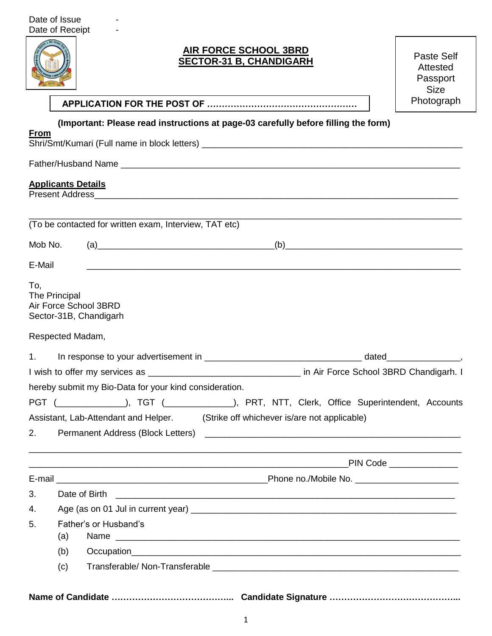

## **AIR FORCE SCHOOL 3BRD SECTOR-31 B, CHANDIGARH**

Paste Self Attested Passport **Size** 

**APPLICATION FOR THE POST OF ……………………………………………** Photograph

**(Important: Please read instructions at page-03 carefully before filling the form)**

| <b>From</b> |                                                                                                                                                                                                                                                                                                                                                      |                                                             |
|-------------|------------------------------------------------------------------------------------------------------------------------------------------------------------------------------------------------------------------------------------------------------------------------------------------------------------------------------------------------------|-------------------------------------------------------------|
|             |                                                                                                                                                                                                                                                                                                                                                      |                                                             |
|             | <b>Applicants Details</b><br>Present Address <b>Committee Committee Committee Committee Committee Committee Committee Committee Committee Committee Committee Committee Committee Committee Committee Committee Committee Committee Committee Committee Commi</b>                                                                                    |                                                             |
|             | (To be contacted for written exam, Interview, TAT etc)                                                                                                                                                                                                                                                                                               | <u> 1999 - Johann Barbara, markazar margolar (h. 1989).</u> |
| Mob No.     | $\left( a\right)$ and the set of $\left( a\right)$ and $\left( a\right)$ and $\left( a\right)$ and $\left( a\right)$ and $\left( a\right)$ and $\left( a\right)$ and $\left( a\right)$ and $\left( a\right)$ and $\left( a\right)$ and $\left( a\right)$ and $\left( a\right)$ and $\left( a\right)$ and $\left( a\right)$ and $\left( a\right)$ and | (b)                                                         |
| E-Mail      | <u> 1989 - Johann John Stone, markin bashkar (b. 1989)</u>                                                                                                                                                                                                                                                                                           |                                                             |
| To,         | The Principal<br>Air Force School 3BRD<br>Sector-31B, Chandigarh                                                                                                                                                                                                                                                                                     |                                                             |
|             | Respected Madam,                                                                                                                                                                                                                                                                                                                                     |                                                             |
| 1.          |                                                                                                                                                                                                                                                                                                                                                      |                                                             |
|             |                                                                                                                                                                                                                                                                                                                                                      |                                                             |
|             | hereby submit my Bio-Data for your kind consideration.                                                                                                                                                                                                                                                                                               |                                                             |
|             | PGT (______________), TGT (_____________), PRT, NTT, Clerk, Office Superintendent, Accounts                                                                                                                                                                                                                                                          |                                                             |
|             | Assistant, Lab-Attendant and Helper. (Strike off whichever is/are not applicable)                                                                                                                                                                                                                                                                    |                                                             |
| 2.          |                                                                                                                                                                                                                                                                                                                                                      |                                                             |
|             |                                                                                                                                                                                                                                                                                                                                                      |                                                             |
|             |                                                                                                                                                                                                                                                                                                                                                      |                                                             |
| 3.          | Date of Birth                                                                                                                                                                                                                                                                                                                                        |                                                             |
| 4.          |                                                                                                                                                                                                                                                                                                                                                      |                                                             |
| 5.          | Father's or Husband's                                                                                                                                                                                                                                                                                                                                |                                                             |
|             | (a)<br>Name                                                                                                                                                                                                                                                                                                                                          |                                                             |
|             | (b)                                                                                                                                                                                                                                                                                                                                                  |                                                             |
|             | (c)                                                                                                                                                                                                                                                                                                                                                  |                                                             |
|             |                                                                                                                                                                                                                                                                                                                                                      |                                                             |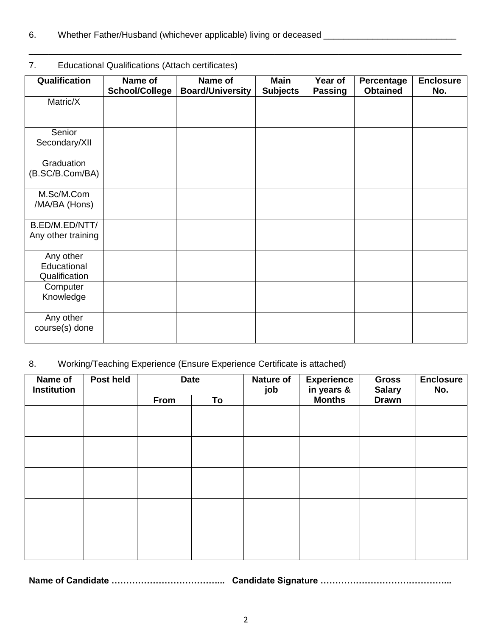## 7. Educational Qualifications (Attach certificates)

| Qualification                | Name of<br><b>School/College</b> | Name of<br><b>Board/University</b> | <b>Main</b><br><b>Subjects</b> | Year of<br><b>Passing</b> | Percentage<br><b>Obtained</b> | <b>Enclosure</b><br>No. |
|------------------------------|----------------------------------|------------------------------------|--------------------------------|---------------------------|-------------------------------|-------------------------|
| Matric/X                     |                                  |                                    |                                |                           |                               |                         |
|                              |                                  |                                    |                                |                           |                               |                         |
| Senior                       |                                  |                                    |                                |                           |                               |                         |
| Secondary/XII                |                                  |                                    |                                |                           |                               |                         |
| Graduation                   |                                  |                                    |                                |                           |                               |                         |
| (B.SC/B.Com/BA)              |                                  |                                    |                                |                           |                               |                         |
| M.Sc/M.Com                   |                                  |                                    |                                |                           |                               |                         |
| /MA/BA (Hons)                |                                  |                                    |                                |                           |                               |                         |
| B.ED/M.ED/NTT/               |                                  |                                    |                                |                           |                               |                         |
| Any other training           |                                  |                                    |                                |                           |                               |                         |
| Any other                    |                                  |                                    |                                |                           |                               |                         |
| Educational<br>Qualification |                                  |                                    |                                |                           |                               |                         |
| Computer                     |                                  |                                    |                                |                           |                               |                         |
| Knowledge                    |                                  |                                    |                                |                           |                               |                         |
| Any other                    |                                  |                                    |                                |                           |                               |                         |
| course(s) done               |                                  |                                    |                                |                           |                               |                         |

\_\_\_\_\_\_\_\_\_\_\_\_\_\_\_\_\_\_\_\_\_\_\_\_\_\_\_\_\_\_\_\_\_\_\_\_\_\_\_\_\_\_\_\_\_\_\_\_\_\_\_\_\_\_\_\_\_\_\_\_\_\_\_\_\_\_\_\_\_\_\_\_\_\_\_\_\_\_\_\_\_\_\_\_\_\_\_\_

## 8. Working/Teaching Experience (Ensure Experience Certificate is attached)

| Name of<br><b>Institution</b> | <b>Post held</b> | <b>Date</b> |    |  | <b>Nature of</b><br>job | <b>Experience</b><br>in years & | <b>Gross</b><br><b>Salary</b> | <b>Enclosure</b><br>No. |
|-------------------------------|------------------|-------------|----|--|-------------------------|---------------------------------|-------------------------------|-------------------------|
|                               |                  | <b>From</b> | To |  | <b>Months</b>           | <b>Drawn</b>                    |                               |                         |
|                               |                  |             |    |  |                         |                                 |                               |                         |
|                               |                  |             |    |  |                         |                                 |                               |                         |
|                               |                  |             |    |  |                         |                                 |                               |                         |
|                               |                  |             |    |  |                         |                                 |                               |                         |
|                               |                  |             |    |  |                         |                                 |                               |                         |
|                               |                  |             |    |  |                         |                                 |                               |                         |
|                               |                  |             |    |  |                         |                                 |                               |                         |
|                               |                  |             |    |  |                         |                                 |                               |                         |
|                               |                  |             |    |  |                         |                                 |                               |                         |
|                               |                  |             |    |  |                         |                                 |                               |                         |
|                               |                  |             |    |  |                         |                                 |                               |                         |
|                               |                  |             |    |  |                         |                                 |                               |                         |
|                               |                  |             |    |  |                         |                                 |                               |                         |
|                               |                  |             |    |  |                         |                                 |                               |                         |
|                               |                  |             |    |  |                         |                                 |                               |                         |

**Name of Candidate ………………………………... Candidate Signature ……………………………………...**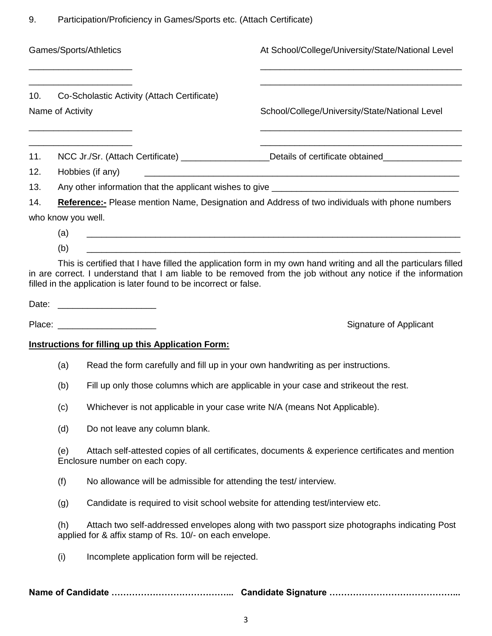9. Participation/Proficiency in Games/Sports etc. (Attach Certificate)

| Games/Sports/Athletics                                                 |                                                                                             |                                                                                                                                    |                                                                    | At School/College/University/State/National Level                                                                                                                                                                                 |  |  |
|------------------------------------------------------------------------|---------------------------------------------------------------------------------------------|------------------------------------------------------------------------------------------------------------------------------------|--------------------------------------------------------------------|-----------------------------------------------------------------------------------------------------------------------------------------------------------------------------------------------------------------------------------|--|--|
| Co-Scholastic Activity (Attach Certificate)<br>10.<br>Name of Activity |                                                                                             |                                                                                                                                    | School/College/University/State/National Level                     |                                                                                                                                                                                                                                   |  |  |
| 11.                                                                    |                                                                                             |                                                                                                                                    |                                                                    | NCC Jr./Sr. (Attach Certificate) ________________Details of certificate obtained___________________                                                                                                                               |  |  |
| 12.                                                                    |                                                                                             | Hobbies (if any)                                                                                                                   |                                                                    |                                                                                                                                                                                                                                   |  |  |
| 13.                                                                    |                                                                                             |                                                                                                                                    |                                                                    |                                                                                                                                                                                                                                   |  |  |
| 14.                                                                    |                                                                                             |                                                                                                                                    |                                                                    | <b>Reference:-</b> Please mention Name, Designation and Address of two individuals with phone numbers                                                                                                                             |  |  |
|                                                                        | who know you well.<br>(a)                                                                   |                                                                                                                                    |                                                                    |                                                                                                                                                                                                                                   |  |  |
|                                                                        | (b)                                                                                         |                                                                                                                                    |                                                                    |                                                                                                                                                                                                                                   |  |  |
|                                                                        |                                                                                             |                                                                                                                                    | filled in the application is later found to be incorrect or false. | This is certified that I have filled the application form in my own hand writing and all the particulars filled<br>in are correct. I understand that I am liable to be removed from the job without any notice if the information |  |  |
|                                                                        |                                                                                             | Date: ________________________                                                                                                     |                                                                    |                                                                                                                                                                                                                                   |  |  |
|                                                                        |                                                                                             | Place: _______________________                                                                                                     |                                                                    | Signature of Applicant                                                                                                                                                                                                            |  |  |
|                                                                        |                                                                                             |                                                                                                                                    | <b>Instructions for filling up this Application Form:</b>          |                                                                                                                                                                                                                                   |  |  |
|                                                                        |                                                                                             |                                                                                                                                    |                                                                    | Read the form carefully and fill up in your own handwriting as per instructions.                                                                                                                                                  |  |  |
|                                                                        | (a)                                                                                         |                                                                                                                                    |                                                                    |                                                                                                                                                                                                                                   |  |  |
|                                                                        | Fill up only those columns which are applicable in your case and strikeout the rest.<br>(b) |                                                                                                                                    |                                                                    |                                                                                                                                                                                                                                   |  |  |
|                                                                        | (c)<br>Whichever is not applicable in your case write N/A (means Not Applicable).           |                                                                                                                                    |                                                                    |                                                                                                                                                                                                                                   |  |  |
|                                                                        | (d)                                                                                         |                                                                                                                                    | Do not leave any column blank.                                     |                                                                                                                                                                                                                                   |  |  |
|                                                                        | (e)                                                                                         | Attach self-attested copies of all certificates, documents & experience certificates and mention<br>Enclosure number on each copy. |                                                                    |                                                                                                                                                                                                                                   |  |  |
|                                                                        | (f)                                                                                         |                                                                                                                                    |                                                                    | No allowance will be admissible for attending the test/interview.                                                                                                                                                                 |  |  |
|                                                                        | (g)                                                                                         |                                                                                                                                    |                                                                    | Candidate is required to visit school website for attending test/interview etc.                                                                                                                                                   |  |  |
|                                                                        | (h)                                                                                         |                                                                                                                                    | applied for & affix stamp of Rs. 10/- on each envelope.            | Attach two self-addressed envelopes along with two passport size photographs indicating Post                                                                                                                                      |  |  |
|                                                                        | (i)                                                                                         |                                                                                                                                    | Incomplete application form will be rejected.                      |                                                                                                                                                                                                                                   |  |  |
|                                                                        |                                                                                             |                                                                                                                                    |                                                                    |                                                                                                                                                                                                                                   |  |  |